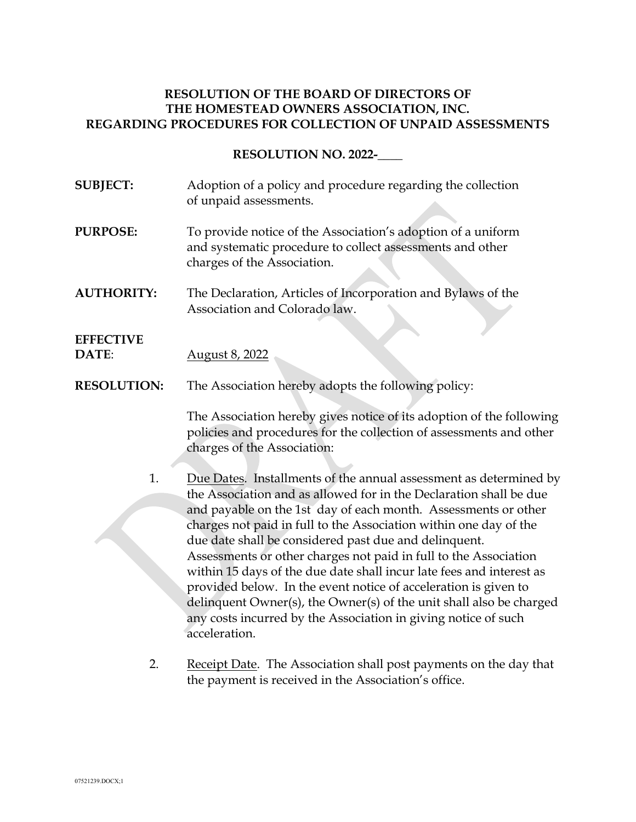# **RESOLUTION OF THE BOARD OF DIRECTORS OF THE HOMESTEAD OWNERS ASSOCIATION, INC. REGARDING PROCEDURES FOR COLLECTION OF UNPAID ASSESSMENTS**

**RESOLUTION NO. 2022-\_\_\_\_**

- **SUBJECT:** Adoption of a policy and procedure regarding the collection of unpaid assessments.
- **PURPOSE:** To provide notice of the Association's adoption of a uniform and systematic procedure to collect assessments and other charges of the Association.
- **AUTHORITY:** The Declaration, Articles of Incorporation and Bylaws of the Association and Colorado law.

# **EFFECTIVE**

- **DATE**: August 8, 2022
- **RESOLUTION:** The Association hereby adopts the following policy:

The Association hereby gives notice of its adoption of the following policies and procedures for the collection of assessments and other charges of the Association:

1. Due Dates. Installments of the annual assessment as determined by the Association and as allowed for in the Declaration shall be due and payable on the 1st day of each month. Assessments or other charges not paid in full to the Association within one day of the due date shall be considered past due and delinquent. Assessments or other charges not paid in full to the Association within 15 days of the due date shall incur late fees and interest as provided below. In the event notice of acceleration is given to delinquent Owner(s), the Owner(s) of the unit shall also be charged any costs incurred by the Association in giving notice of such acceleration.

2. Receipt Date. The Association shall post payments on the day that the payment is received in the Association's office.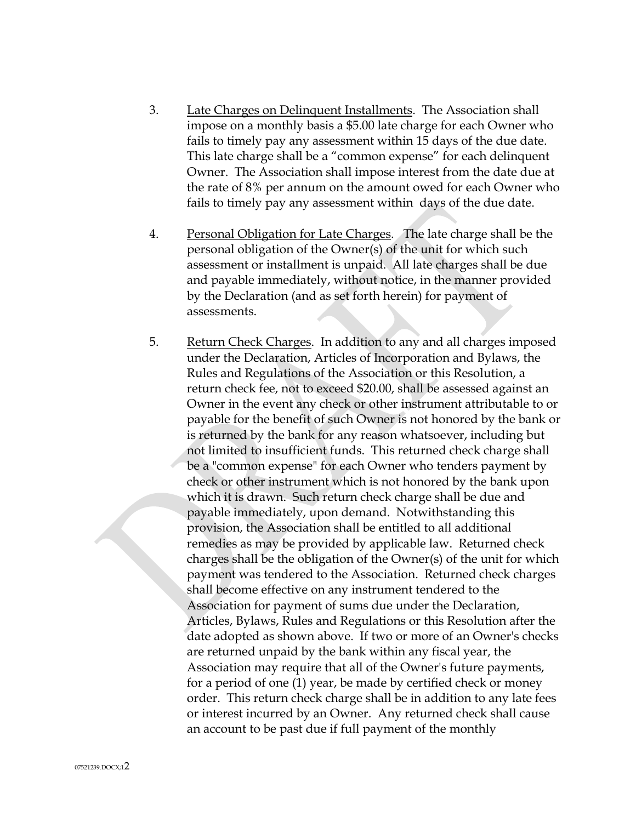- 3. Late Charges on Delinquent Installments. The Association shall impose on a monthly basis a \$5.00 late charge for each Owner who fails to timely pay any assessment within 15 days of the due date. This late charge shall be a "common expense" for each delinquent Owner. The Association shall impose interest from the date due at the rate of 8% per annum on the amount owed for each Owner who fails to timely pay any assessment within days of the due date.
- 4. Personal Obligation for Late Charges. The late charge shall be the personal obligation of the Owner(s) of the unit for which such assessment or installment is unpaid. All late charges shall be due and payable immediately, without notice, in the manner provided by the Declaration (and as set forth herein) for payment of assessments.
- 5. Return Check Charges. In addition to any and all charges imposed under the Declaration, Articles of Incorporation and Bylaws, the Rules and Regulations of the Association or this Resolution, a return check fee, not to exceed \$20.00, shall be assessed against an Owner in the event any check or other instrument attributable to or payable for the benefit of such Owner is not honored by the bank or is returned by the bank for any reason whatsoever, including but not limited to insufficient funds. This returned check charge shall be a "common expense" for each Owner who tenders payment by check or other instrument which is not honored by the bank upon which it is drawn. Such return check charge shall be due and payable immediately, upon demand. Notwithstanding this provision, the Association shall be entitled to all additional remedies as may be provided by applicable law. Returned check charges shall be the obligation of the Owner(s) of the unit for which payment was tendered to the Association. Returned check charges shall become effective on any instrument tendered to the Association for payment of sums due under the Declaration, Articles, Bylaws, Rules and Regulations or this Resolution after the date adopted as shown above. If two or more of an Owner's checks are returned unpaid by the bank within any fiscal year, the Association may require that all of the Owner's future payments, for a period of one (1) year, be made by certified check or money order. This return check charge shall be in addition to any late fees or interest incurred by an Owner. Any returned check shall cause an account to be past due if full payment of the monthly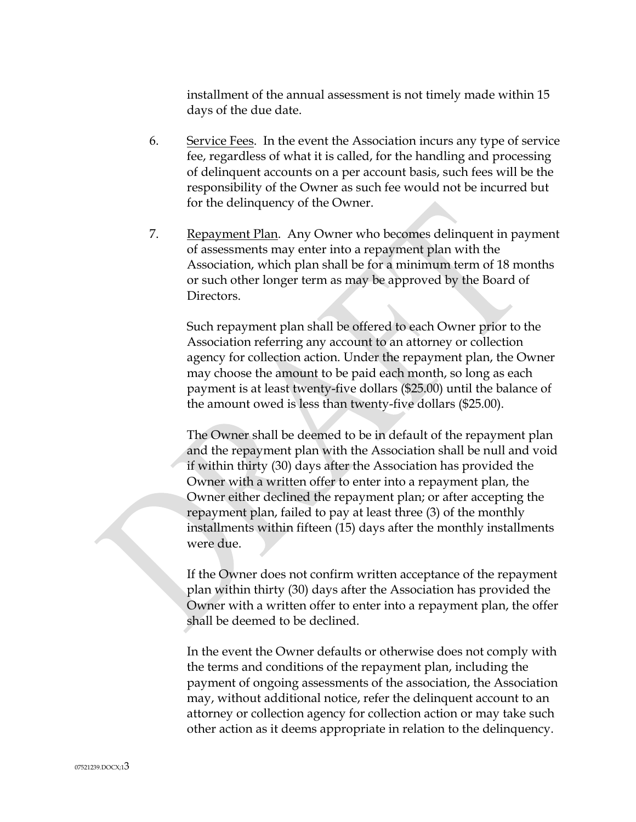installment of the annual assessment is not timely made within 15 days of the due date.

- 6. Service Fees. In the event the Association incurs any type of service fee, regardless of what it is called, for the handling and processing of delinquent accounts on a per account basis, such fees will be the responsibility of the Owner as such fee would not be incurred but for the delinquency of the Owner.
- 7. Repayment Plan. Any Owner who becomes delinquent in payment of assessments may enter into a repayment plan with the Association, which plan shall be for a minimum term of 18 months or such other longer term as may be approved by the Board of Directors.

Such repayment plan shall be offered to each Owner prior to the Association referring any account to an attorney or collection agency for collection action. Under the repayment plan, the Owner may choose the amount to be paid each month, so long as each payment is at least twenty-five dollars (\$25.00) until the balance of the amount owed is less than twenty-five dollars (\$25.00).

The Owner shall be deemed to be in default of the repayment plan and the repayment plan with the Association shall be null and void if within thirty (30) days after the Association has provided the Owner with a written offer to enter into a repayment plan, the Owner either declined the repayment plan; or after accepting the repayment plan, failed to pay at least three (3) of the monthly installments within fifteen (15) days after the monthly installments were due.

If the Owner does not confirm written acceptance of the repayment plan within thirty (30) days after the Association has provided the Owner with a written offer to enter into a repayment plan, the offer shall be deemed to be declined.

In the event the Owner defaults or otherwise does not comply with the terms and conditions of the repayment plan, including the payment of ongoing assessments of the association, the Association may, without additional notice, refer the delinquent account to an attorney or collection agency for collection action or may take such other action as it deems appropriate in relation to the delinquency.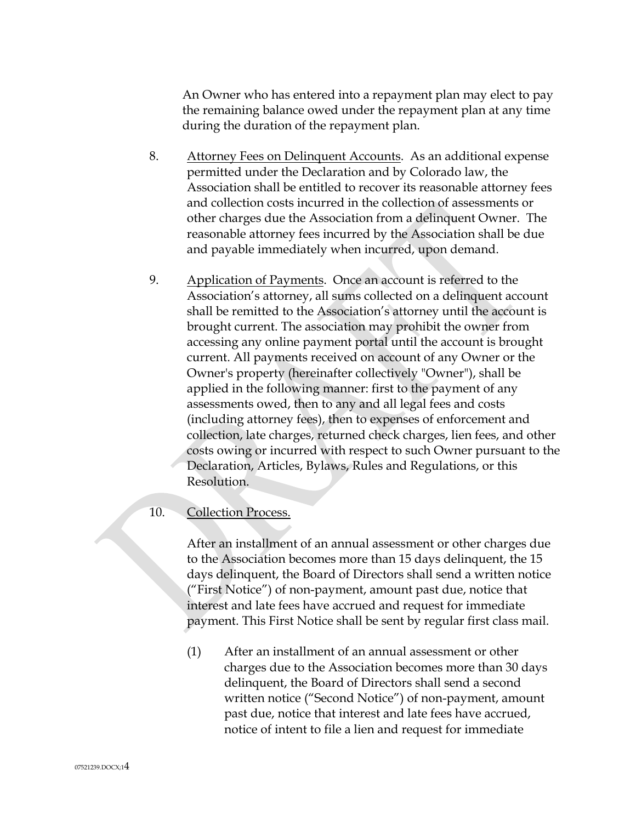An Owner who has entered into a repayment plan may elect to pay the remaining balance owed under the repayment plan at any time during the duration of the repayment plan.

- 8. Attorney Fees on Delinquent Accounts. As an additional expense permitted under the Declaration and by Colorado law, the Association shall be entitled to recover its reasonable attorney fees and collection costs incurred in the collection of assessments or other charges due the Association from a delinquent Owner. The reasonable attorney fees incurred by the Association shall be due and payable immediately when incurred, upon demand.
- 9. Application of Payments. Once an account is referred to the Association's attorney, all sums collected on a delinquent account shall be remitted to the Association's attorney until the account is brought current. The association may prohibit the owner from accessing any online payment portal until the account is brought current. All payments received on account of any Owner or the Owner's property (hereinafter collectively "Owner"), shall be applied in the following manner: first to the payment of any assessments owed, then to any and all legal fees and costs (including attorney fees), then to expenses of enforcement and collection, late charges, returned check charges, lien fees, and other costs owing or incurred with respect to such Owner pursuant to the Declaration, Articles, Bylaws, Rules and Regulations, or this Resolution.

## 10. Collection Process.

After an installment of an annual assessment or other charges due to the Association becomes more than 15 days delinquent, the 15 days delinquent, the Board of Directors shall send a written notice ("First Notice") of non-payment, amount past due, notice that interest and late fees have accrued and request for immediate payment. This First Notice shall be sent by regular first class mail.

(1) After an installment of an annual assessment or other charges due to the Association becomes more than 30 days delinquent, the Board of Directors shall send a second written notice ("Second Notice") of non-payment, amount past due, notice that interest and late fees have accrued, notice of intent to file a lien and request for immediate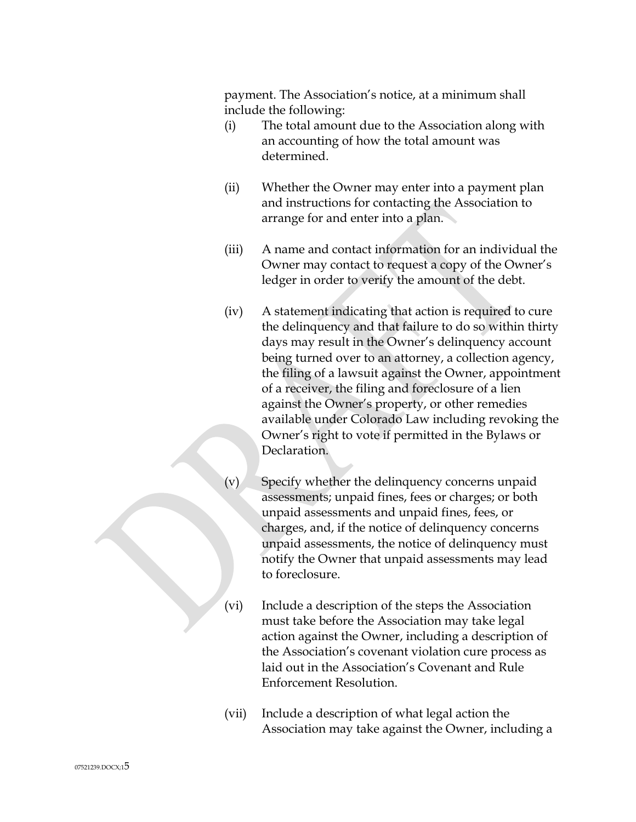payment. The Association's notice, at a minimum shall include the following:

- (i) The total amount due to the Association along with an accounting of how the total amount was determined.
- (ii) Whether the Owner may enter into a payment plan and instructions for contacting the Association to arrange for and enter into a plan.
- (iii) A name and contact information for an individual the Owner may contact to request a copy of the Owner's ledger in order to verify the amount of the debt.
- (iv) A statement indicating that action is required to cure the delinquency and that failure to do so within thirty days may result in the Owner's delinquency account being turned over to an attorney, a collection agency, the filing of a lawsuit against the Owner, appointment of a receiver, the filing and foreclosure of a lien against the Owner's property, or other remedies available under Colorado Law including revoking the Owner's right to vote if permitted in the Bylaws or Declaration.
- (v) Specify whether the delinquency concerns unpaid assessments; unpaid fines, fees or charges; or both unpaid assessments and unpaid fines, fees, or charges, and, if the notice of delinquency concerns unpaid assessments, the notice of delinquency must notify the Owner that unpaid assessments may lead to foreclosure.
- (vi) Include a description of the steps the Association must take before the Association may take legal action against the Owner, including a description of the Association's covenant violation cure process as laid out in the Association's Covenant and Rule Enforcement Resolution.
- (vii) Include a description of what legal action the Association may take against the Owner, including a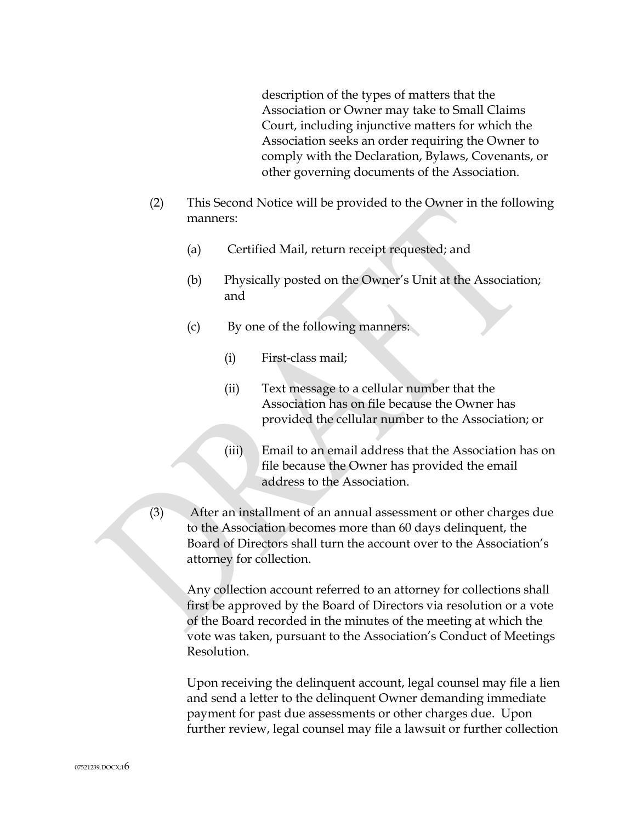description of the types of matters that the Association or Owner may take to Small Claims Court, including injunctive matters for which the Association seeks an order requiring the Owner to comply with the Declaration, Bylaws, Covenants, or other governing documents of the Association.

- (2) This Second Notice will be provided to the Owner in the following manners:
	- (a) Certified Mail, return receipt requested; and
	- (b) Physically posted on the Owner's Unit at the Association; and
	- (c) By one of the following manners:
		- (i) First-class mail;
		- (ii) Text message to a cellular number that the Association has on file because the Owner has provided the cellular number to the Association; or
		- (iii) Email to an email address that the Association has on file because the Owner has provided the email address to the Association.
- (3) After an installment of an annual assessment or other charges due to the Association becomes more than 60 days delinquent, the Board of Directors shall turn the account over to the Association's attorney for collection.

Any collection account referred to an attorney for collections shall first be approved by the Board of Directors via resolution or a vote of the Board recorded in the minutes of the meeting at which the vote was taken, pursuant to the Association's Conduct of Meetings Resolution.

Upon receiving the delinquent account, legal counsel may file a lien and send a letter to the delinquent Owner demanding immediate payment for past due assessments or other charges due. Upon further review, legal counsel may file a lawsuit or further collection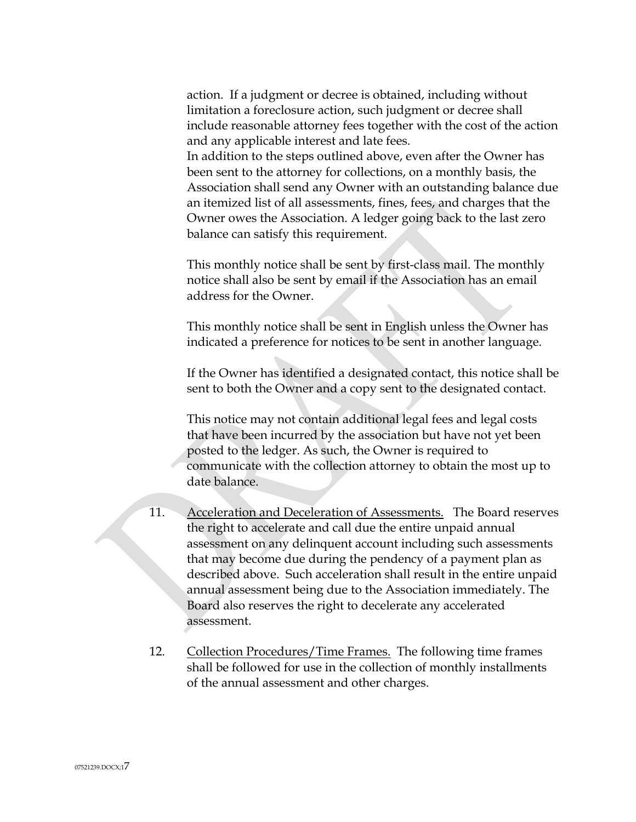action. If a judgment or decree is obtained, including without limitation a foreclosure action, such judgment or decree shall include reasonable attorney fees together with the cost of the action and any applicable interest and late fees.

In addition to the steps outlined above, even after the Owner has been sent to the attorney for collections, on a monthly basis, the Association shall send any Owner with an outstanding balance due an itemized list of all assessments, fines, fees, and charges that the Owner owes the Association. A ledger going back to the last zero balance can satisfy this requirement.

This monthly notice shall be sent by first-class mail. The monthly notice shall also be sent by email if the Association has an email address for the Owner.

This monthly notice shall be sent in English unless the Owner has indicated a preference for notices to be sent in another language.

If the Owner has identified a designated contact, this notice shall be sent to both the Owner and a copy sent to the designated contact.

This notice may not contain additional legal fees and legal costs that have been incurred by the association but have not yet been posted to the ledger. As such, the Owner is required to communicate with the collection attorney to obtain the most up to date balance.

- 11. Acceleration and Deceleration of Assessments. The Board reserves the right to accelerate and call due the entire unpaid annual assessment on any delinquent account including such assessments that may become due during the pendency of a payment plan as described above. Such acceleration shall result in the entire unpaid annual assessment being due to the Association immediately. The Board also reserves the right to decelerate any accelerated assessment.
- 12. Collection Procedures/Time Frames. The following time frames shall be followed for use in the collection of monthly installments of the annual assessment and other charges.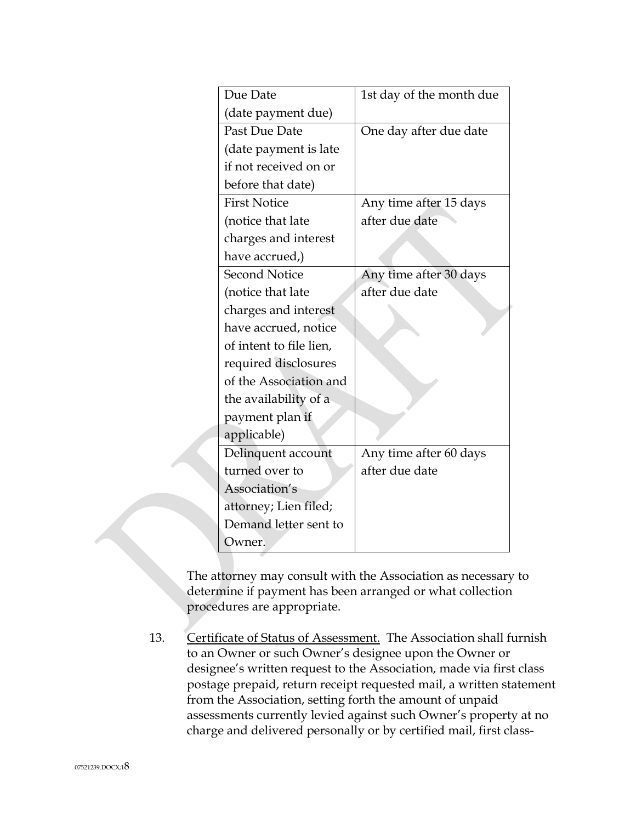| Due Date                | 1st day of the month due |
|-------------------------|--------------------------|
| (date payment due)      |                          |
| Past Due Date           | One day after due date   |
| (date payment is late   |                          |
| if not received on or   |                          |
| before that date)       |                          |
| <b>First Notice</b>     | Any time after 15 days   |
| (notice that late       | after due date           |
| charges and interest    |                          |
| have accrued,)          |                          |
| <b>Second Notice</b>    | Any time after 30 days   |
| (notice that late       | after due date           |
| charges and interest    |                          |
| have accrued, notice    |                          |
| of intent to file lien, |                          |
| required disclosures    |                          |
| of the Association and  |                          |
| the availability of a   |                          |
| payment plan if         |                          |
| applicable)             |                          |
| Delinquent account      | Any time after 60 days   |
| turned over to          | after due date           |
| Association's           |                          |
| attorney; Lien filed;   |                          |
| Demand letter sent to   |                          |
| Owner.                  |                          |

The attorney may consult with the Association as necessary to determine if payment has been arranged or what collection procedures are appropriate.

13. Certificate of Status of Assessment. The Association shall furnish to an Owner or such Owner's designee upon the Owner or designee's written request to the Association, made via first class postage prepaid, return receipt requested mail, a written statement from the Association, setting forth the amount of unpaid assessments currently levied against such Owner's property at no charge and delivered personally or by certified mail, first class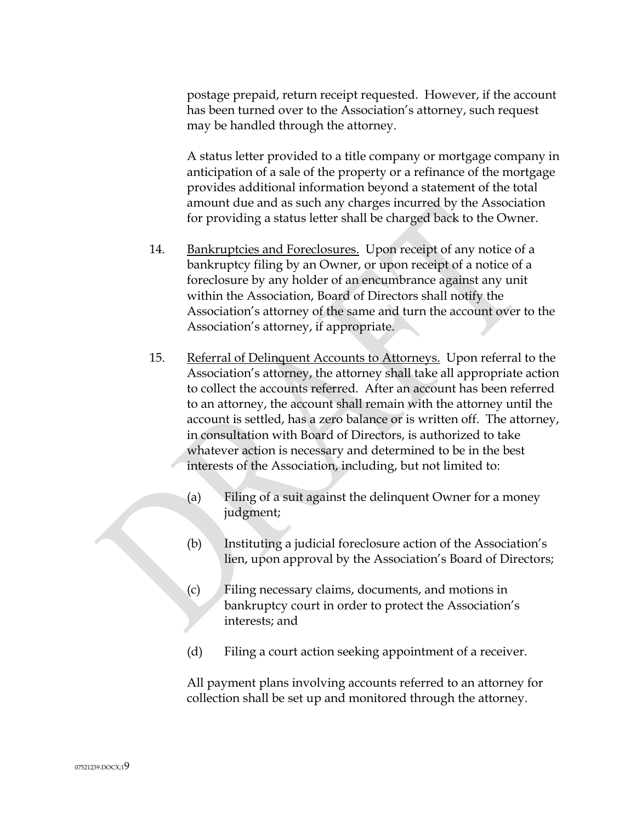postage prepaid, return receipt requested. However, if the account has been turned over to the Association's attorney, such request may be handled through the attorney.

A status letter provided to a title company or mortgage company in anticipation of a sale of the property or a refinance of the mortgage provides additional information beyond a statement of the total amount due and as such any charges incurred by the Association for providing a status letter shall be charged back to the Owner.

- 14. Bankruptcies and Foreclosures. Upon receipt of any notice of a bankruptcy filing by an Owner, or upon receipt of a notice of a foreclosure by any holder of an encumbrance against any unit within the Association, Board of Directors shall notify the Association's attorney of the same and turn the account over to the Association's attorney, if appropriate.
- 15. Referral of Delinquent Accounts to Attorneys. Upon referral to the Association's attorney, the attorney shall take all appropriate action to collect the accounts referred. After an account has been referred to an attorney, the account shall remain with the attorney until the account is settled, has a zero balance or is written off. The attorney, in consultation with Board of Directors, is authorized to take whatever action is necessary and determined to be in the best interests of the Association, including, but not limited to:
	- (a) Filing of a suit against the delinquent Owner for a money judgment;
	- (b) Instituting a judicial foreclosure action of the Association's lien, upon approval by the Association's Board of Directors;
	- (c) Filing necessary claims, documents, and motions in bankruptcy court in order to protect the Association's interests; and
	- (d) Filing a court action seeking appointment of a receiver.

All payment plans involving accounts referred to an attorney for collection shall be set up and monitored through the attorney.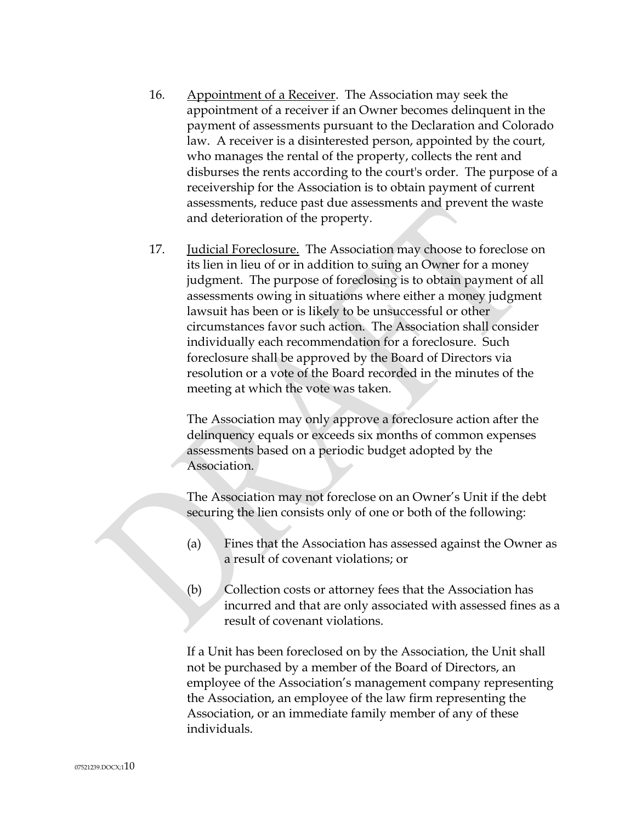- 16. Appointment of a Receiver. The Association may seek the appointment of a receiver if an Owner becomes delinquent in the payment of assessments pursuant to the Declaration and Colorado law. A receiver is a disinterested person, appointed by the court, who manages the rental of the property, collects the rent and disburses the rents according to the court's order. The purpose of a receivership for the Association is to obtain payment of current assessments, reduce past due assessments and prevent the waste and deterioration of the property.
- 17. Judicial Foreclosure. The Association may choose to foreclose on its lien in lieu of or in addition to suing an Owner for a money judgment. The purpose of foreclosing is to obtain payment of all assessments owing in situations where either a money judgment lawsuit has been or is likely to be unsuccessful or other circumstances favor such action. The Association shall consider individually each recommendation for a foreclosure. Such foreclosure shall be approved by the Board of Directors via resolution or a vote of the Board recorded in the minutes of the meeting at which the vote was taken.

The Association may only approve a foreclosure action after the delinquency equals or exceeds six months of common expenses assessments based on a periodic budget adopted by the Association.

The Association may not foreclose on an Owner's Unit if the debt securing the lien consists only of one or both of the following:

- (a) Fines that the Association has assessed against the Owner as a result of covenant violations; or
- (b) Collection costs or attorney fees that the Association has incurred and that are only associated with assessed fines as a result of covenant violations.

If a Unit has been foreclosed on by the Association, the Unit shall not be purchased by a member of the Board of Directors, an employee of the Association's management company representing the Association, an employee of the law firm representing the Association, or an immediate family member of any of these individuals.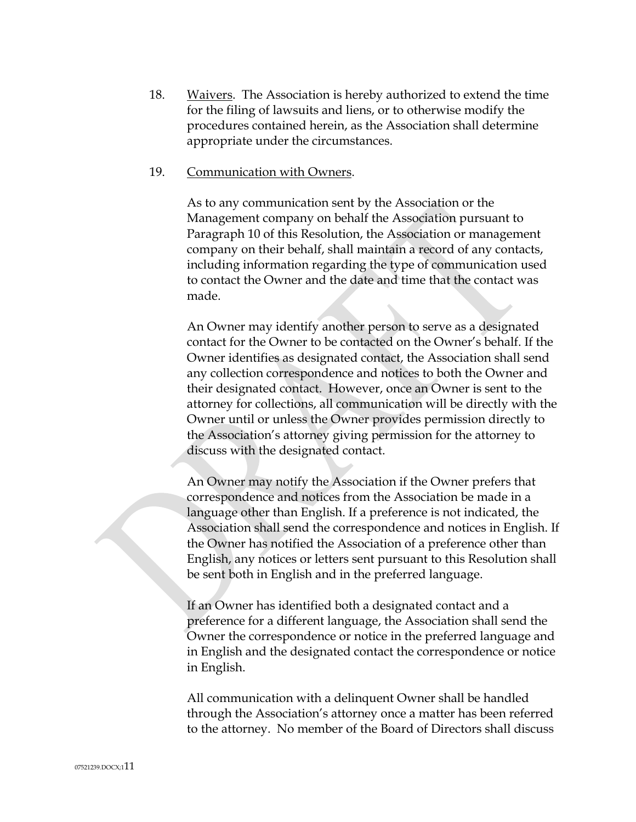18. Waivers. The Association is hereby authorized to extend the time for the filing of lawsuits and liens, or to otherwise modify the procedures contained herein, as the Association shall determine appropriate under the circumstances.

#### 19. Communication with Owners.

As to any communication sent by the Association or the Management company on behalf the Association pursuant to Paragraph 10 of this Resolution, the Association or management company on their behalf, shall maintain a record of any contacts, including information regarding the type of communication used to contact the Owner and the date and time that the contact was made.

An Owner may identify another person to serve as a designated contact for the Owner to be contacted on the Owner's behalf. If the Owner identifies as designated contact, the Association shall send any collection correspondence and notices to both the Owner and their designated contact. However, once an Owner is sent to the attorney for collections, all communication will be directly with the Owner until or unless the Owner provides permission directly to the Association's attorney giving permission for the attorney to discuss with the designated contact.

An Owner may notify the Association if the Owner prefers that correspondence and notices from the Association be made in a language other than English. If a preference is not indicated, the Association shall send the correspondence and notices in English. If the Owner has notified the Association of a preference other than English, any notices or letters sent pursuant to this Resolution shall be sent both in English and in the preferred language.

If an Owner has identified both a designated contact and a preference for a different language, the Association shall send the Owner the correspondence or notice in the preferred language and in English and the designated contact the correspondence or notice in English.

All communication with a delinquent Owner shall be handled through the Association's attorney once a matter has been referred to the attorney. No member of the Board of Directors shall discuss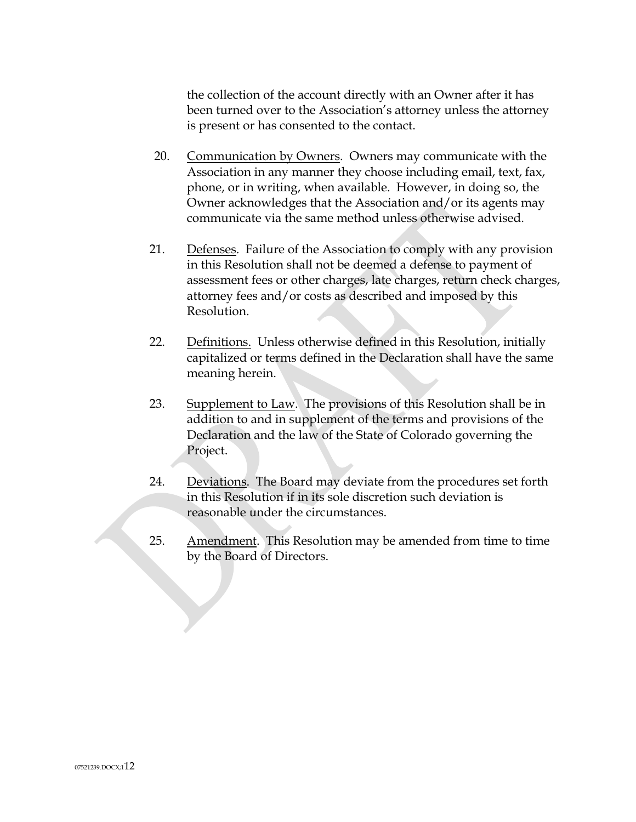the collection of the account directly with an Owner after it has been turned over to the Association's attorney unless the attorney is present or has consented to the contact.

- 20. Communication by Owners. Owners may communicate with the Association in any manner they choose including email, text, fax, phone, or in writing, when available. However, in doing so, the Owner acknowledges that the Association and/or its agents may communicate via the same method unless otherwise advised.
- 21. Defenses. Failure of the Association to comply with any provision in this Resolution shall not be deemed a defense to payment of assessment fees or other charges, late charges, return check charges, attorney fees and/or costs as described and imposed by this Resolution.
- 22. Definitions. Unless otherwise defined in this Resolution, initially capitalized or terms defined in the Declaration shall have the same meaning herein.
- 23. Supplement to Law. The provisions of this Resolution shall be in addition to and in supplement of the terms and provisions of the Declaration and the law of the State of Colorado governing the Project.
- 24. Deviations. The Board may deviate from the procedures set forth in this Resolution if in its sole discretion such deviation is reasonable under the circumstances.
- 25. Amendment. This Resolution may be amended from time to time by the Board of Directors.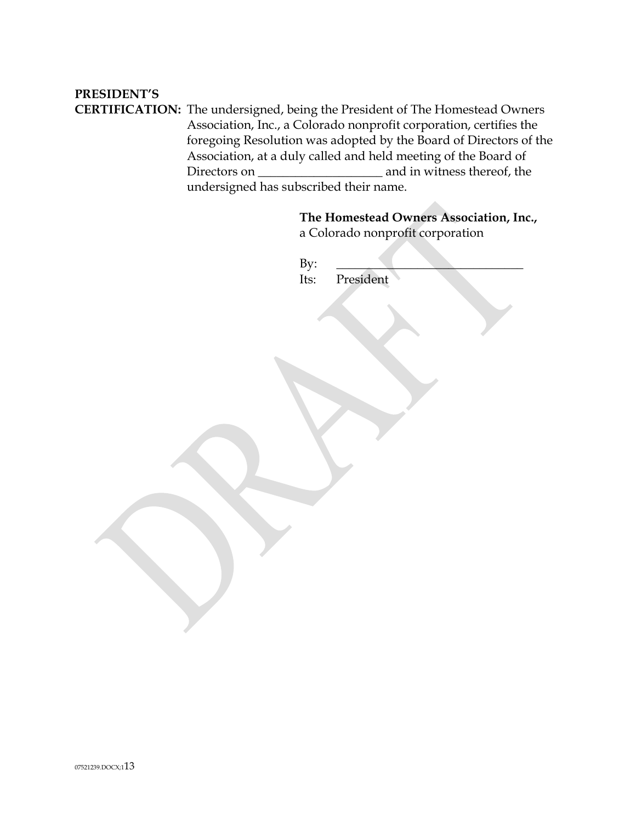# **PRESIDENT'S**

**CERTIFICATION:** The undersigned, being the President of The Homestead Owners Association, Inc., a Colorado nonprofit corporation, certifies the foregoing Resolution was adopted by the Board of Directors of the Association, at a duly called and held meeting of the Board of Directors on \_\_\_\_\_\_\_\_\_\_\_\_\_\_\_\_\_\_\_\_ and in witness thereof, the undersigned has subscribed their name.

|             | The Homestead Owners Association, Inc.,<br>a Colorado nonprofit corporation |
|-------------|-----------------------------------------------------------------------------|
| By:<br>Its: | President                                                                   |
|             |                                                                             |
|             |                                                                             |
|             |                                                                             |
|             |                                                                             |
|             |                                                                             |
|             |                                                                             |